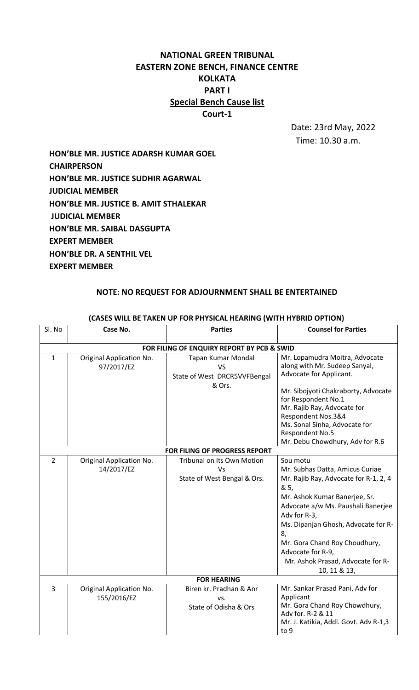# **NATIONAL GREEN TRIBUNAL EASTERN ZONE BENCH, FINANCE CENTRE KOLKATA PART I Special Bench Cause list Court-1**

 Date: 23rd May, 2022 Time: 10.30 a.m.

**HON'BLE MR. JUSTICE ADARSH KUMAR GOEL CHAIRPERSON HON'BLE MR. JUSTICE SUDHIR AGARWAL JUDICIAL MEMBER HON'BLE MR. JUSTICE B. AMIT STHALEKAR JUDICIAL MEMBER HON'BLE MR. SAIBAL DASGUPTA EXPERT MEMBER HON'BLE DR. A SENTHIL VEL EXPERT MEMBER**

## **NOTE: NO REQUEST FOR ADJOURNMENT SHALL BE ENTERTAINED**

| Sl. No                                     | Case No.                                | <b>Parties</b>                                                            | <b>Counsel for Parties</b>                                                                                                                                                                                                                                                                                                                  |  |
|--------------------------------------------|-----------------------------------------|---------------------------------------------------------------------------|---------------------------------------------------------------------------------------------------------------------------------------------------------------------------------------------------------------------------------------------------------------------------------------------------------------------------------------------|--|
| FOR FILING OF ENQUIRY REPORT BY PCB & SWID |                                         |                                                                           |                                                                                                                                                                                                                                                                                                                                             |  |
| $\mathbf{1}$                               | Original Application No.<br>97/2017/EZ  | Tapan Kumar Mondal<br><b>VS</b><br>State of West DRCR5VVFBengal<br>& Ors. | Mr. Lopamudra Moitra, Advocate<br>along with Mr. Sudeep Sanyal,<br>Advocate for Applicant.<br>Mr. Sibojyoti Chakraborty, Advocate<br>for Respondent No.1<br>Mr. Rajib Ray, Advocate for<br>Respondent Nos.3&4<br>Ms. Sonal Sinha, Advocate for<br>Respondent No.5<br>Mr. Debu Chowdhury, Adv for R.6                                        |  |
|                                            |                                         | FOR FILING OF PROGRESS REPORT                                             |                                                                                                                                                                                                                                                                                                                                             |  |
| $\overline{2}$                             | Original Application No.<br>14/2017/EZ  | <b>Tribunal on Its Own Motion</b><br>Vs<br>State of West Bengal & Ors.    | Sou motu<br>Mr. Subhas Datta, Amicus Curiae<br>Mr. Rajib Ray, Advocate for R-1, 2, 4<br>& 5,<br>Mr. Ashok Kumar Banerjee, Sr.<br>Advocate a/w Ms. Paushali Banerjee<br>Adv for R-3,<br>Ms. Dipanjan Ghosh, Advocate for R-<br>8,<br>Mr. Gora Chand Roy Choudhury,<br>Advocate for R-9,<br>Mr. Ashok Prasad, Advocate for R-<br>10, 11 & 13, |  |
| <b>FOR HEARING</b>                         |                                         |                                                                           |                                                                                                                                                                                                                                                                                                                                             |  |
| 3                                          | Original Application No.<br>155/2016/EZ | Biren kr. Pradhan & Anr<br>VS.<br>State of Odisha & Ors                   | Mr. Sankar Prasad Pani, Adv for<br>Applicant<br>Mr. Gora Chand Roy Chowdhury,<br>Adv for. R-2 & 11<br>Mr. J. Katikia, Addl. Govt. Adv R-1,3<br>to 9                                                                                                                                                                                         |  |

### **(CASES WILL BE TAKEN UP FOR PHYSICAL HEARING (WITH HYBRID OPTION)**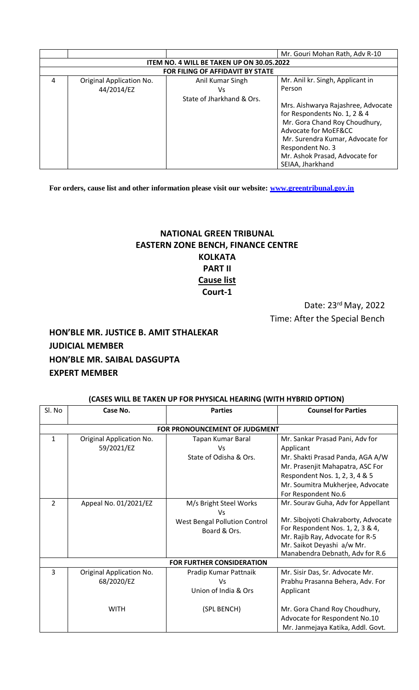|                                                  |                          |                           | Mr. Gouri Mohan Rath, Adv R-10     |  |
|--------------------------------------------------|--------------------------|---------------------------|------------------------------------|--|
| <b>ITEM NO. 4 WILL BE TAKEN UP ON 30.05.2022</b> |                          |                           |                                    |  |
| <b>FOR FILING OF AFFIDAVIT BY STATE</b>          |                          |                           |                                    |  |
| 4                                                | Original Application No. | Anil Kumar Singh          | Mr. Anil kr. Singh, Applicant in   |  |
|                                                  | 44/2014/EZ               | Vs                        | Person                             |  |
|                                                  |                          | State of Jharkhand & Ors. |                                    |  |
|                                                  |                          |                           | Mrs. Aishwarya Rajashree, Advocate |  |
|                                                  |                          |                           | for Respondents No. 1, 2 & 4       |  |
|                                                  |                          |                           | Mr. Gora Chand Roy Choudhury,      |  |
|                                                  |                          |                           | Advocate for MoEF&CC               |  |
|                                                  |                          |                           | Mr. Surendra Kumar, Advocate for   |  |
|                                                  |                          |                           | Respondent No. 3                   |  |
|                                                  |                          |                           | Mr. Ashok Prasad, Advocate for     |  |
|                                                  |                          |                           | SEIAA, Jharkhand                   |  |

**For orders, cause list and other information please visit our website: [www.greentribunal.gov.in](http://www.greentribunal.gov.in/)**

# **NATIONAL GREEN TRIBUNAL EASTERN ZONE BENCH, FINANCE CENTRE KOLKATA PART II Cause list Court-1**

Date: 23rd May, 2022 Time: After the Special Bench

# **HON'BLE MR. JUSTICE B. AMIT STHALEKAR JUDICIAL MEMBER HON'BLE MR. SAIBAL DASGUPTA EXPERT MEMBER**

| Sl. No         | Case No.                               | <b>Parties</b>                                                                              | <b>Counsel for Parties</b>                                                                                                                                                                                        |
|----------------|----------------------------------------|---------------------------------------------------------------------------------------------|-------------------------------------------------------------------------------------------------------------------------------------------------------------------------------------------------------------------|
|                |                                        | FOR PRONOUNCEMENT OF JUDGMENT                                                               |                                                                                                                                                                                                                   |
| 1              | Original Application No.<br>59/2021/EZ | Tapan Kumar Baral<br><b>Vs</b><br>State of Odisha & Ors.                                    | Mr. Sankar Prasad Pani, Adv for<br>Applicant<br>Mr. Shakti Prasad Panda, AGA A/W<br>Mr. Prasenjit Mahapatra, ASC For<br>Respondent Nos. 1, 2, 3, 4 & 5<br>Mr. Soumitra Mukherjee, Advocate<br>For Respondent No.6 |
| $\overline{2}$ | Appeal No. 01/2021/EZ                  | M/s Bright Steel Works<br><b>Vs</b><br><b>West Bengal Pollution Control</b><br>Board & Ors. | Mr. Sourav Guha, Adv for Appellant<br>Mr. Sibojyoti Chakraborty, Advocate<br>For Respondent Nos. 1, 2, 3 & 4,<br>Mr. Rajib Ray, Advocate for R-5<br>Mr. Saikot Deyashi a/w Mr.<br>Manabendra Debnath, Adv for R.6 |
|                |                                        | <b>FOR FURTHER CONSIDERATION</b>                                                            |                                                                                                                                                                                                                   |
| 3              | Original Application No.<br>68/2020/EZ | Pradip Kumar Pattnaik<br>Vs<br>Union of India & Ors                                         | Mr. Sisir Das, Sr. Advocate Mr.<br>Prabhu Prasanna Behera, Adv. For<br>Applicant                                                                                                                                  |
|                | <b>WITH</b>                            | (SPL BENCH)                                                                                 | Mr. Gora Chand Roy Choudhury,<br>Advocate for Respondent No.10<br>Mr. Janmejaya Katika, Addl. Govt.                                                                                                               |

## **(CASES WILL BE TAKEN UP FOR PHYSICAL HEARING (WITH HYBRID OPTION)**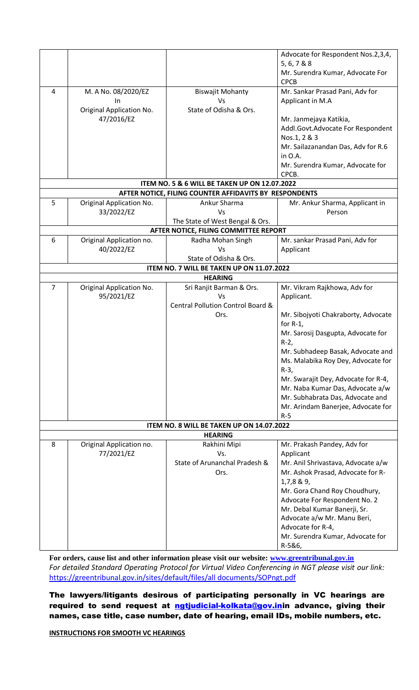|                                           |                          |                                                          | Advocate for Respondent Nos.2,3,4,  |  |
|-------------------------------------------|--------------------------|----------------------------------------------------------|-------------------------------------|--|
|                                           |                          |                                                          | 5, 6, 7 & 8 & 8                     |  |
|                                           |                          |                                                          | Mr. Surendra Kumar, Advocate For    |  |
|                                           |                          |                                                          | <b>CPCB</b>                         |  |
| 4                                         | M. A No. 08/2020/EZ      | <b>Biswajit Mohanty</b>                                  | Mr. Sankar Prasad Pani, Adv for     |  |
|                                           | In                       | Vs                                                       | Applicant in M.A                    |  |
|                                           | Original Application No. | State of Odisha & Ors.                                   |                                     |  |
|                                           | 47/2016/EZ               |                                                          | Mr. Janmejaya Katikia,              |  |
|                                           |                          |                                                          |                                     |  |
|                                           |                          |                                                          | Addl.Govt.Advocate For Respondent   |  |
|                                           |                          |                                                          | Nos.1, 2 & 3                        |  |
|                                           |                          |                                                          | Mr. Sailazanandan Das, Adv for R.6  |  |
|                                           |                          |                                                          | in O.A.                             |  |
|                                           |                          |                                                          | Mr. Surendra Kumar, Advocate for    |  |
|                                           |                          |                                                          | CPCB.                               |  |
|                                           |                          | <b>ITEM NO. 5 &amp; 6 WILL BE TAKEN UP ON 12.07.2022</b> |                                     |  |
|                                           |                          | AFTER NOTICE, FILING COUNTER AFFIDAVITS BY RESPONDENTS   |                                     |  |
| 5                                         | Original Application No. | Ankur Sharma                                             | Mr. Ankur Sharma, Applicant in      |  |
|                                           | 33/2022/EZ               | Vs                                                       | Person                              |  |
|                                           |                          | The State of West Bengal & Ors.                          |                                     |  |
|                                           |                          | AFTER NOTICE, FILING COMMITTEE REPORT                    |                                     |  |
| 6                                         | Original Application no. | Radha Mohan Singh                                        | Mr. sankar Prasad Pani, Adv for     |  |
|                                           | 40/2022/EZ               | Vs                                                       | Applicant                           |  |
|                                           |                          | State of Odisha & Ors.                                   |                                     |  |
|                                           |                          | ITEM NO. 7 WILL BE TAKEN UP ON 11.07.2022                |                                     |  |
|                                           |                          | <b>HEARING</b>                                           |                                     |  |
| 7                                         | Original Application No. | Sri Ranjit Barman & Ors.                                 | Mr. Vikram Rajkhowa, Adv for        |  |
|                                           | 95/2021/EZ               | Vs                                                       | Applicant.                          |  |
|                                           |                          | Central Pollution Control Board &                        |                                     |  |
|                                           |                          | Ors.                                                     | Mr. Sibojyoti Chakraborty, Advocate |  |
|                                           |                          |                                                          | for $R-1$ ,                         |  |
|                                           |                          |                                                          | Mr. Sarosij Dasgupta, Advocate for  |  |
|                                           |                          |                                                          | $R-2$                               |  |
|                                           |                          |                                                          | Mr. Subhadeep Basak, Advocate and   |  |
|                                           |                          |                                                          | Ms. Malabika Roy Dey, Advocate for  |  |
|                                           |                          |                                                          | $R-3$ ,                             |  |
|                                           |                          |                                                          |                                     |  |
|                                           |                          |                                                          | Mr. Swarajit Dey, Advocate for R-4, |  |
|                                           |                          |                                                          | Mr. Naba Kumar Das, Advocate a/w    |  |
|                                           |                          |                                                          | Mr. Subhabrata Das, Advocate and    |  |
|                                           |                          |                                                          | Mr. Arindam Banerjee, Advocate for  |  |
|                                           |                          |                                                          | $R-5$                               |  |
| ITEM NO. 8 WILL BE TAKEN UP ON 14.07.2022 |                          |                                                          |                                     |  |
|                                           |                          | <b>HEARING</b>                                           |                                     |  |
| 8                                         | Original Application no. | Rakhini Mipi                                             | Mr. Prakash Pandey, Adv for         |  |
|                                           | 77/2021/EZ               | Vs.                                                      | Applicant                           |  |
|                                           |                          | State of Arunanchal Pradesh &                            | Mr. Anil Shrivastava, Advocate a/w  |  |
|                                           |                          | Ors.                                                     | Mr. Ashok Prasad, Advocate for R-   |  |
|                                           |                          |                                                          | 1,7,889,                            |  |
|                                           |                          |                                                          | Mr. Gora Chand Roy Choudhury,       |  |
|                                           |                          |                                                          | Advocate For Respondent No. 2       |  |
|                                           |                          |                                                          | Mr. Debal Kumar Banerji, Sr.        |  |
|                                           |                          |                                                          | Advocate a/w Mr. Manu Beri,         |  |
|                                           |                          |                                                          | Advocate for R-4,                   |  |
|                                           |                          |                                                          | Mr. Surendra Kumar, Advocate for    |  |
|                                           |                          |                                                          | R-5&6,                              |  |

**For orders, cause list and other information please visit our website: [www.greentribunal.gov.in](http://www.greentribunal.gov.in/)** *For detailed Standard Operating Protocol for Virtual Video Conferencing in NGT please visit our link:*  [https://greentribunal.gov.in/sites/default/files/all documents/SOPngt.pdf](https://greentribunal.gov.in/sites/default/files/all%20documents/SOPngt.pdf)

The lawyers/litigants desirous of participating personally in VC hearings are required to send request at **ngtjudicial-kolkata@gov.in**in advance, giving their names, case title, case number, date of hearing, email IDs, mobile numbers, etc.

**INSTRUCTIONS FOR SMOOTH VC HEARINGS**